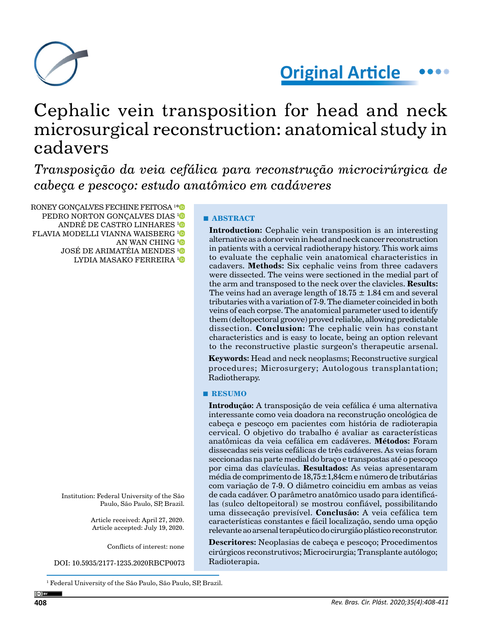

**Original Article**

# Cephalic vein transposition for head and neck microsurgical reconstruction: anatomical study in cadavers

*Transposição da veia cefálica para reconstrução microcirúrgica de cabeça e pescoço: estudo anatômico em cadáveres*

RONEY GONÇALVES FECHINE FEITOSA 1 [\\*](https://orcid.org/0000-0001-6000-743X) PEDRO NORTON GONCALVES DIAS<sup>[1](https://orcid.org/0000-0002-9329-9894)</sup> ANDRÉ DE CASTRO LINHARES [1](https://orcid.org/0000-0002-9304-6010) FLAVIA MODELLI VIANNA WAISBERG [1](https://orcid.org/0000-0002-8336-5026) AN WAN CHING<sup>[1](https://orcid.org/0000-0002-9205-9899)</sup> JOSÉ DE ARIMATÉIA MENDES<sup>[1](https://orcid.org/0000-0002-9252-5861)</sup>O LYDIA MASAKO FERREIRA [1](https://orcid.org/0000-0003-4587-509X)

> Institution: Federal University of the São Paulo, São Paulo, SP, Brazil.

> > Article received: April 27, 2020. Article accepted: July 19, 2020.

> > > Conflicts of interest: none

DOI: 10.5935/2177-1235.2020RBCP0073

1 Federal University of the São Paulo, São Paulo, SP, Brazil.

# **■ ABSTRACT**

**Introduction:** Cephalic vein transposition is an interesting alternative as a donor vein in head and neck cancer reconstruction in patients with a cervical radiotherapy history. This work aims to evaluate the cephalic vein anatomical characteristics in cadavers. **Methods:** Six cephalic veins from three cadavers were dissected. The veins were sectioned in the medial part of the arm and transposed to the neck over the clavicles. **Results:** The veins had an average length of  $18.75 \pm 1.84$  cm and several tributaries with a variation of 7-9. The diameter coincided in both veins of each corpse. The anatomical parameter used to identify them (deltopectoral groove) proved reliable, allowing predictable dissection. **Conclusion:** The cephalic vein has constant characteristics and is easy to locate, being an option relevant to the reconstructive plastic surgeon's therapeutic arsenal.

**Keywords:** Head and neck neoplasms; Reconstructive surgical procedures; Microsurgery; Autologous transplantation; Radiotherapy.

#### **■ RESUMO**

**Introdução:** A transposição de veia cefálica é uma alternativa interessante como veia doadora na reconstrução oncológica de cabeça e pescoço em pacientes com história de radioterapia cervical. O objetivo do trabalho é avaliar as características anatômicas da veia cefálica em cadáveres. **Métodos:** Foram dissecadas seis veias cefálicas de três cadáveres. As veias foram seccionadas na parte medial do braço e transpostas até o pescoço por cima das clavículas. **Resultados:** As veias apresentaram média de comprimento de 18,75±1,84cm e número de tributárias com variação de 7-9. O diâmetro coincidiu em ambas as veias de cada cadáver. O parâmetro anatômico usado para identificálas (sulco deltopeitoral) se mostrou confiável, possibilitando uma dissecação previsível. **Conclusão:** A veia cefálica tem características constantes e fácil localização, sendo uma opção relevante ao arsenal terapêutico do cirurgião plástico reconstrutor.

**Descritores:** Neoplasias de cabeça e pescoço; Procedimentos cirúrgicos reconstrutivos; Microcirurgia; Transplante autólogo; Radioterapia.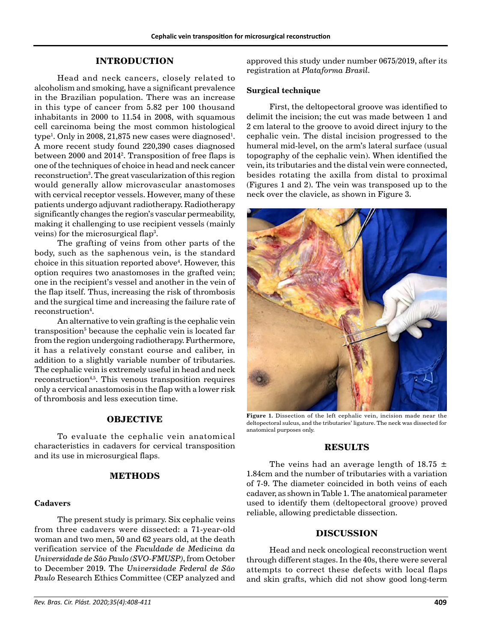# **INTRODUCTION**

Head and neck cancers, closely related to alcoholism and smoking, have a significant prevalence in the Brazilian population. There was an increase in this type of cancer from 5.82 per 100 thousand inhabitants in 2000 to 11.54 in 2008, with squamous cell carcinoma being the most common histological  $\textrm{type}^1$ . Only in 2008, 21,875 new cases were diagnosed $^1$ . A more recent study found 220,390 cases diagnosed between 2000 and 20142 . Transposition of free flaps is one of the techniques of choice in head and neck cancer reconstruction<sup>3</sup>. The great vascularization of this region would generally allow microvascular anastomoses with cervical receptor vessels. However, many of these patients undergo adjuvant radiotherapy. Radiotherapy significantly changes the region's vascular permeability, making it challenging to use recipient vessels (mainly veins) for the microsurgical flap $^3\!$ .

The grafting of veins from other parts of the body, such as the saphenous vein, is the standard choice in this situation reported above<sup>4</sup>. However, this option requires two anastomoses in the grafted vein; one in the recipient's vessel and another in the vein of the flap itself. Thus, increasing the risk of thrombosis and the surgical time and increasing the failure rate of  ${\rm reconstruction^4}.$ 

An alternative to vein grafting is the cephalic vein transposition<sup>5</sup> because the cephalic vein is located far from the region undergoing radiotherapy. Furthermore, it has a relatively constant course and caliber, in addition to a slightly variable number of tributaries. The cephalic vein is extremely useful in head and neck reconstruction<sup>4,5</sup>. This venous transposition requires only a cervical anastomosis in the flap with a lower risk of thrombosis and less execution time.

# **OBJECTIVE**

To evaluate the cephalic vein anatomical characteristics in cadavers for cervical transposition and its use in microsurgical flaps.

# **METHODS**

# **Cadavers**

The present study is primary. Six cephalic veins from three cadavers were dissected: a 71-year-old woman and two men, 50 and 62 years old, at the death verification service of the *Faculdade de Medicina da Universidade de São Paulo (SVO-FMUSP)*, from October to December 2019. The *Universidade Federal de São Paulo* Research Ethics Committee (CEP analyzed and

### **Surgical technique**

First, the deltopectoral groove was identified to delimit the incision; the cut was made between 1 and 2 cm lateral to the groove to avoid direct injury to the cephalic vein. The distal incision progressed to the humeral mid-level, on the arm's lateral surface (usual topography of the cephalic vein). When identified the vein, its tributaries and the distal vein were connected, besides rotating the axilla from distal to proximal (Figures 1 and 2). The vein was transposed up to the neck over the clavicle, as shown in Figure 3.



**Figure 1.** Dissection of the left cephalic vein, incision made near the deltopectoral sulcus, and the tributaries' ligature. The neck was dissected for anatomical purposes only.

#### **RESULTS**

The veins had an average length of  $18.75 \pm$ 1.84cm and the number of tributaries with a variation of 7-9. The diameter coincided in both veins of each cadaver, as shown in Table 1. The anatomical parameter used to identify them (deltopectoral groove) proved reliable, allowing predictable dissection.

# **DISCUSSION**

Head and neck oncological reconstruction went through different stages. In the 40s, there were several attempts to correct these defects with local flaps and skin grafts, which did not show good long-term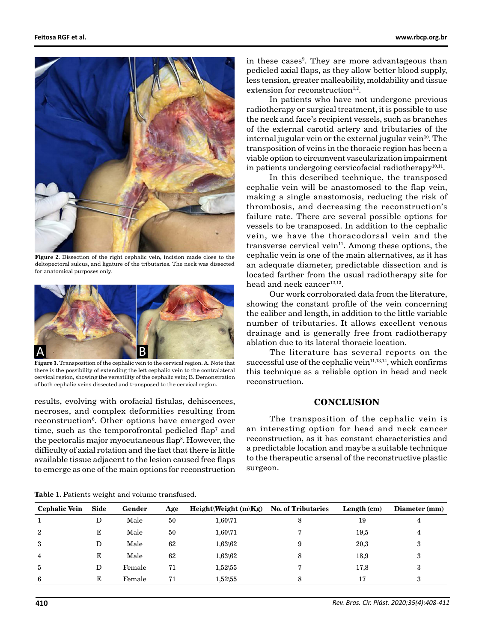

Figure 2. Dissection of the right cephalic vein, incision made close to the deltopectoral sulcus, and ligature of the tributaries. The neck was dissected for anatomical purposes only.



**Figure 3.** Transposition of the cephalic vein to the cervical region. A. Note that there is the possibility of extending the left cephalic vein to the contralateral cervical region, showing the versatility of the cephalic vein; B. Demonstration of both cephalic veins dissected and transposed to the cervical region.

results, evolving with orofacial fistulas, dehiscences, necroses, and complex deformities resulting from reconstruction6 . Other options have emerged over time, such as the temporofrontal pedicled flap $^7$  and the pectoralis major myocutaneous flap<sup>8</sup>. However, the difficulty of axial rotation and the fact that there is little available tissue adjacent to the lesion caused free flaps to emerge as one of the main options for reconstruction

in these cases<sup>9</sup>. They are more advantageous than pedicled axial flaps, as they allow better blood supply, less tension, greater malleability, moldability and tissue extension for reconstruction $1,2$ .

In patients who have not undergone previous radiotherapy or surgical treatment, it is possible to use the neck and face's recipient vessels, such as branches of the external carotid artery and tributaries of the internal jugular vein or the external jugular vein $10$ . The transposition of veins in the thoracic region has been a viable option to circumvent vascularization impairment in patients undergoing cervicofacial radiotherapy<sup>10,11</sup>.

In this described technique, the transposed cephalic vein will be anastomosed to the flap vein, making a single anastomosis, reducing the risk of thrombosis, and decreasing the reconstruction's failure rate. There are several possible options for vessels to be transposed. In addition to the cephalic vein, we have the thoracodorsal vein and the transverse cervical vein $11$ . Among these options, the cephalic vein is one of the main alternatives, as it has an adequate diameter, predictable dissection and is located farther from the usual radiotherapy site for head and neck cancer $12,13$ .

Our work corroborated data from the literature, showing the constant profile of the vein concerning the caliber and length, in addition to the little variable number of tributaries. It allows excellent venous drainage and is generally free from radiotherapy ablation due to its lateral thoracic location.

The literature has several reports on the successful use of the cephalic vein $11,13,14$ , which confirms this technique as a reliable option in head and neck reconstruction.

# **CONCLUSION**

The transposition of the cephalic vein is an interesting option for head and neck cancer reconstruction, as it has constant characteristics and a predictable location and maybe a suitable technique to the therapeutic arsenal of the reconstructive plastic surgeon.

| <b>Cephalic Vein</b> | Side | Gender | Age | <b>Height</b> Weight $(m \Kg)$ No. of Tributaries |   | Length (cm) | <b>Diameter</b> (mm) |
|----------------------|------|--------|-----|---------------------------------------------------|---|-------------|----------------------|
| 1                    | D    | Male   | 50  | $1,60\sqrt{71}$                                   | 8 | 19          | 4                    |
| 2                    | Е    | Male   | 50  | $1,60\sqrt{71}$                                   |   | 19,5        | 4                    |
| 3                    | D    | Male   | 62  | $1,63 \backslash 62$                              | 9 | 20,3        | 3                    |
| 4                    | Е    | Male   | 62  | $1,63 \& 62$                                      | 8 | 18,9        | 3                    |
| 5                    | D    | Female | 71  | $1,52 \, 55$                                      |   | 17,8        | 3                    |
| 6                    | Е    | Female | 71  | $1,52 \backslash 55$                              |   | 17          | Ð                    |

**Table 1.** Patients weight and volume transfused.